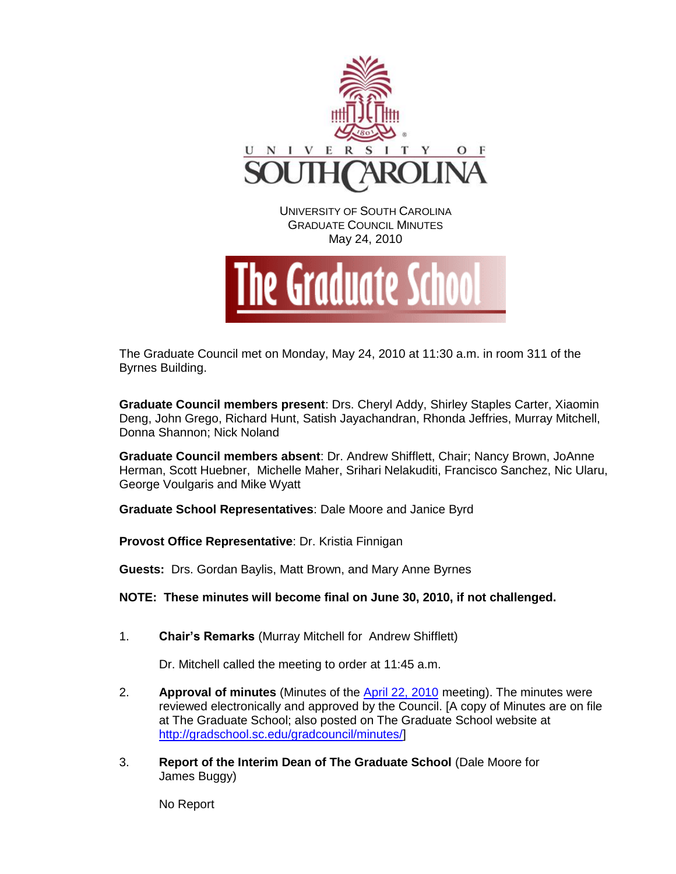

The Graduate Council met on Monday, May 24, 2010 at 11:30 a.m. in room 311 of the Byrnes Building.

**Graduate Council members present**: Drs. Cheryl Addy, Shirley Staples Carter, Xiaomin Deng, John Grego, Richard Hunt, Satish Jayachandran, Rhonda Jeffries, Murray Mitchell, Donna Shannon; Nick Noland

**Graduate Council members absent**: Dr. Andrew Shifflett, Chair; Nancy Brown, JoAnne Herman, Scott Huebner, Michelle Maher, Srihari Nelakuditi, Francisco Sanchez, Nic Ularu, George Voulgaris and Mike Wyatt

**Graduate School Representatives**: Dale Moore and Janice Byrd

**Provost Office Representative**: Dr. Kristia Finnigan

**Guests:** Drs. Gordan Baylis, Matt Brown, and Mary Anne Byrnes

**NOTE: These minutes will become final on June 30, 2010, if not challenged.**

1. **Chair's Remarks** (Murray Mitchell for Andrew Shifflett)

Dr. Mitchell called the meeting to order at 11:45 a.m.

- 2. **Approval of minutes** (Minutes of the April [22, 2010](http://gradschool.sc.edu/gradcouncil/minutes/GCMinutes%20042610.pdf) meeting). The minutes were reviewed electronically and approved by the Council. [A copy of Minutes are on file at The Graduate School; also posted on The Graduate School website at [http://gradschool.sc.edu/gradcouncil/minutes/\]](http://gradschool.sc.edu/gradcouncil/minutes/)
- 3. **Report of the Interim Dean of The Graduate School** (Dale Moore for James Buggy)

No Report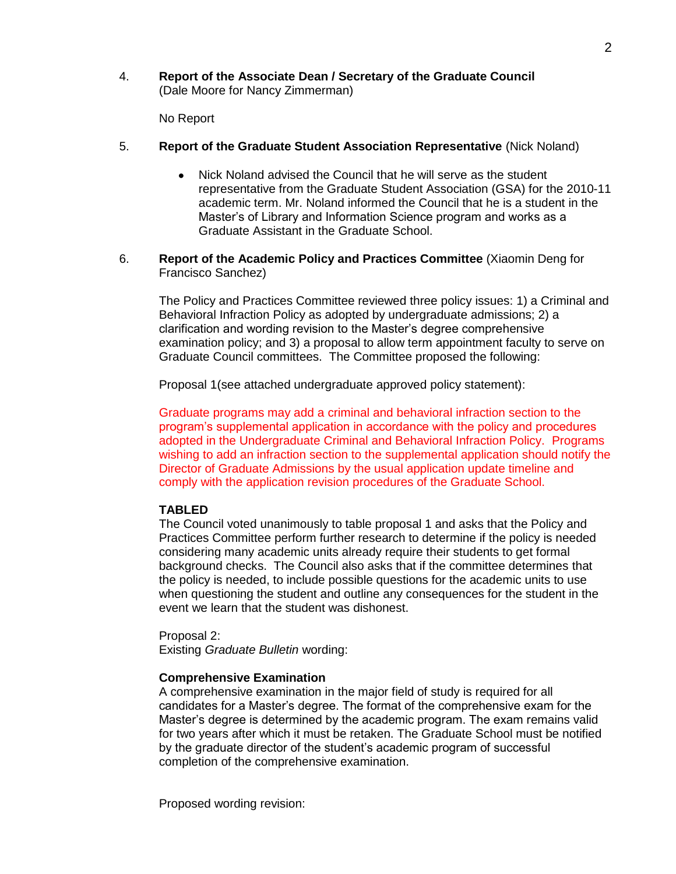4. **Report of the Associate Dean / Secretary of the Graduate Council**  (Dale Moore for Nancy Zimmerman)

No Report

- 5. **Report of the Graduate Student Association Representative** (Nick Noland)
	- Nick Noland advised the Council that he will serve as the student  $\bullet$ representative from the Graduate Student Association (GSA) for the 2010-11 academic term. Mr. Noland informed the Council that he is a student in the Master's of Library and Information Science program and works as a Graduate Assistant in the Graduate School.
- 6. **Report of the Academic Policy and Practices Committee** (Xiaomin Deng for Francisco Sanchez)

The Policy and Practices Committee reviewed three policy issues: 1) a Criminal and Behavioral Infraction Policy as adopted by undergraduate admissions; 2) a clarification and wording revision to the Master's degree comprehensive examination policy; and 3) a proposal to allow term appointment faculty to serve on Graduate Council committees. The Committee proposed the following:

Proposal 1(see attached undergraduate approved policy statement):

Graduate programs may add a criminal and behavioral infraction section to the program's supplemental application in accordance with the policy and procedures adopted in the Undergraduate Criminal and Behavioral Infraction Policy. Programs wishing to add an infraction section to the supplemental application should notify the Director of Graduate Admissions by the usual application update timeline and comply with the application revision procedures of the Graduate School.

## **TABLED**

The Council voted unanimously to table proposal 1 and asks that the Policy and Practices Committee perform further research to determine if the policy is needed considering many academic units already require their students to get formal background checks. The Council also asks that if the committee determines that the policy is needed, to include possible questions for the academic units to use when questioning the student and outline any consequences for the student in the event we learn that the student was dishonest.

Proposal 2: Existing *Graduate Bulletin* wording:

## **Comprehensive Examination**

A comprehensive examination in the major field of study is required for all candidates for a Master's degree. The format of the comprehensive exam for the Master's degree is determined by the academic program. The exam remains valid for two years after which it must be retaken. The Graduate School must be notified by the graduate director of the student's academic program of successful completion of the comprehensive examination.

Proposed wording revision: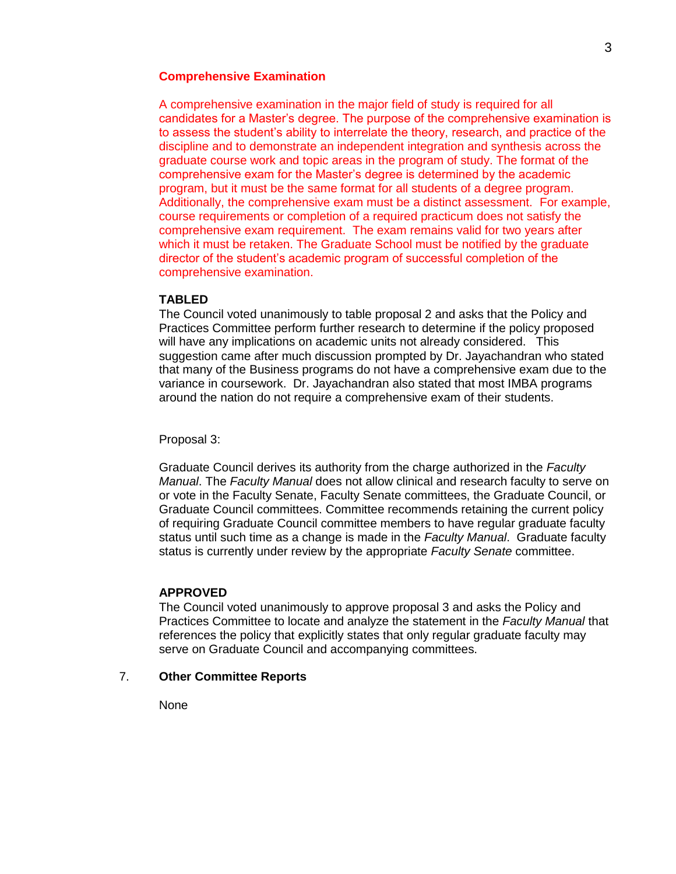## **Comprehensive Examination**

A comprehensive examination in the major field of study is required for all candidates for a Master's degree. The purpose of the comprehensive examination is to assess the student's ability to interrelate the theory, research, and practice of the discipline and to demonstrate an independent integration and synthesis across the graduate course work and topic areas in the program of study. The format of the comprehensive exam for the Master's degree is determined by the academic program, but it must be the same format for all students of a degree program. Additionally, the comprehensive exam must be a distinct assessment. For example, course requirements or completion of a required practicum does not satisfy the comprehensive exam requirement. The exam remains valid for two years after which it must be retaken. The Graduate School must be notified by the graduate director of the student's academic program of successful completion of the comprehensive examination.

### **TABLED**

The Council voted unanimously to table proposal 2 and asks that the Policy and Practices Committee perform further research to determine if the policy proposed will have any implications on academic units not already considered. This suggestion came after much discussion prompted by Dr. Jayachandran who stated that many of the Business programs do not have a comprehensive exam due to the variance in coursework. Dr. Jayachandran also stated that most IMBA programs around the nation do not require a comprehensive exam of their students.

#### Proposal 3:

Graduate Council derives its authority from the charge authorized in the *Faculty Manual*. The *Faculty Manual* does not allow clinical and research faculty to serve on or vote in the Faculty Senate, Faculty Senate committees, the Graduate Council, or Graduate Council committees. Committee recommends retaining the current policy of requiring Graduate Council committee members to have regular graduate faculty status until such time as a change is made in the *Faculty Manual*. Graduate faculty status is currently under review by the appropriate *Faculty Senate* committee.

#### **APPROVED**

The Council voted unanimously to approve proposal 3 and asks the Policy and Practices Committee to locate and analyze the statement in the *Faculty Manual* that references the policy that explicitly states that only regular graduate faculty may serve on Graduate Council and accompanying committees.

## 7. **Other Committee Reports**

None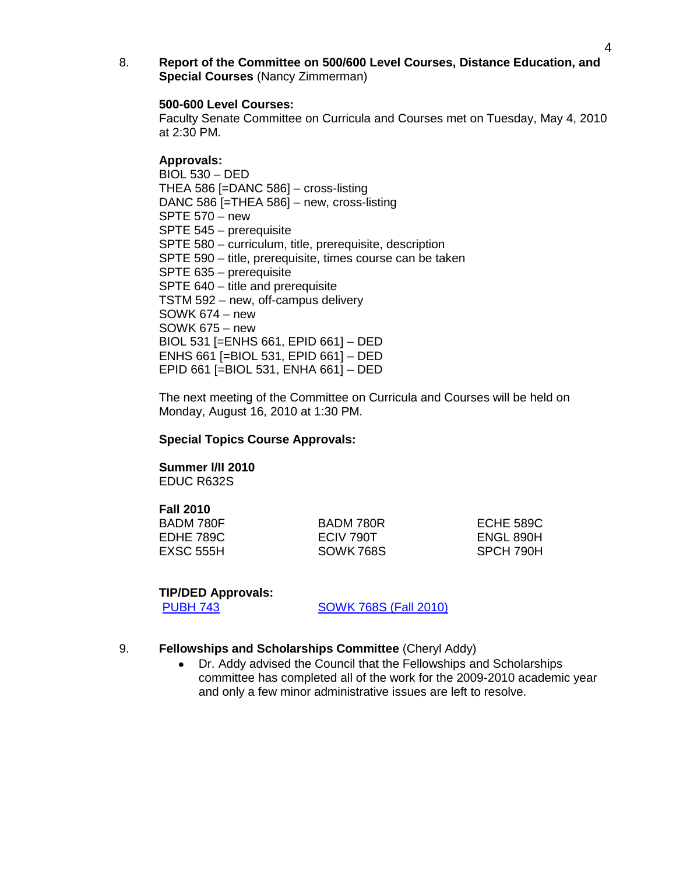8. **Report of the Committee on 500/600 Level Courses, Distance Education, and Special Courses** (Nancy Zimmerman)

#### **500-600 Level Courses:**

Faculty Senate Committee on Curricula and Courses met on Tuesday, May 4, 2010 at 2:30 PM.

### **Approvals:**

BIOL 530 – DED THEA 586 [=DANC 586] – cross-listing DANC 586 [=THEA 586] – new, cross-listing SPTE 570 – new SPTE 545 – prerequisite SPTE 580 – curriculum, title, prerequisite, description SPTE 590 – title, prerequisite, times course can be taken SPTE 635 – prerequisite SPTE 640 – title and prerequisite TSTM 592 – new, off-campus delivery SOWK 674 – new SOWK 675 – new BIOL 531 [=ENHS 661, EPID 661] – DED ENHS 661 [=BIOL 531, EPID 661] – DED EPID 661 [=BIOL 531, ENHA 661] – DED

The next meeting of the Committee on Curricula and Courses will be held on Monday, August 16, 2010 at 1:30 PM.

#### **Special Topics Course Approvals:**

# **Summer l/II 2010**

EDUC R632S

## **Fall 2010**

BADM 780F BADM 780R ECHE 589C

EDHE 789C ECIV 790T ENGL 890H EXSC 555H SOWK 768S SPCH 790H

#### **TIP/DED Approvals:**

[PUBH 743](http://gradschool.sc.edu/gradcouncil/09-10_Curricula/DED%20PUBH%20743.pdf) [SOWK 768S \(Fall 2010\)](http://gradschool.sc.edu/gradcouncil/09-10_Curricula/DED%20SOWK%20768%20S.pdf)

## 9. **Fellowships and Scholarships Committee** (Cheryl Addy)

Dr. Addy advised the Council that the Fellowships and Scholarships committee has completed all of the work for the 2009-2010 academic year and only a few minor administrative issues are left to resolve.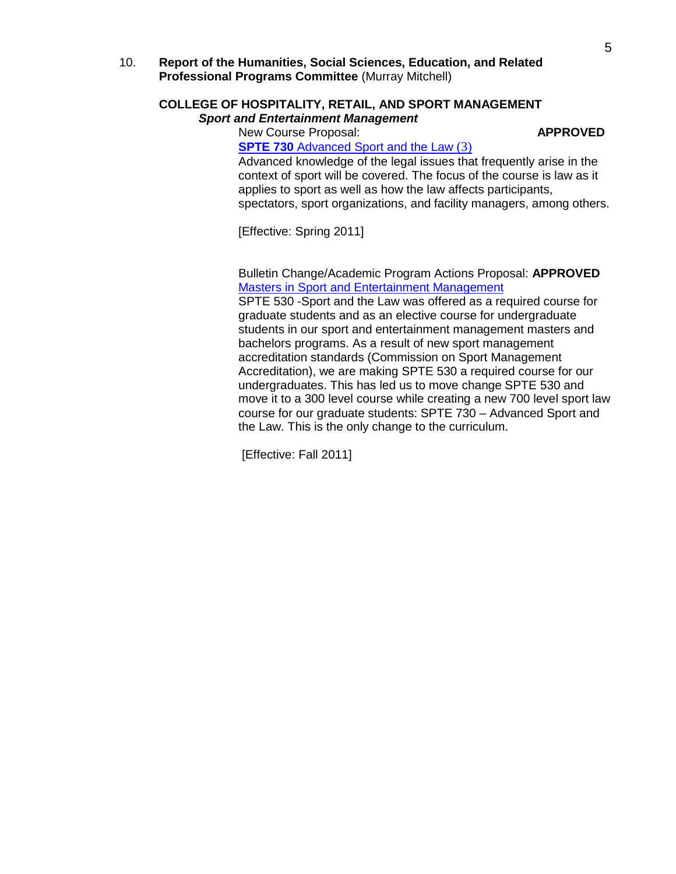10. **Report of the Humanities, Social Sciences, Education, and Related Professional Programs Committee** (Murray Mitchell)

## **COLLEGE OF HOSPITALITY, RETAIL, AND SPORT MANAGEMENT** *Sport and Entertainment Management*

New Course Proposal: **APPROVED**

**SPTE 730** [Advanced Sport and the Law](http://gradschool.sc.edu/gradcouncil/09-10_Curricula/NCP%20SPTE%20730.pdf) (3)

Advanced knowledge of the legal issues that frequently arise in the context of sport will be covered. The focus of the course is law as it applies to sport as well as how the law affects participants, spectators, sport organizations, and facility managers, among others.

[Effective: Spring 2011]

Bulletin Change/Academic Program Actions Proposal: **APPROVED** [Masters in Sport and Entertainment Management](http://gradschool.sc.edu/gradcouncil/09-10_Curricula/BCH%20Masters%20in%20Sport%20and%20Entertainment%20Management.pdf)

SPTE 530 -Sport and the Law was offered as a required course for graduate students and as an elective course for undergraduate students in our sport and entertainment management masters and bachelors programs. As a result of new sport management accreditation standards (Commission on Sport Management Accreditation), we are making SPTE 530 a required course for our undergraduates. This has led us to move change SPTE 530 and move it to a 300 level course while creating a new 700 level sport law course for our graduate students: SPTE 730 – Advanced Sport and the Law. This is the only change to the curriculum.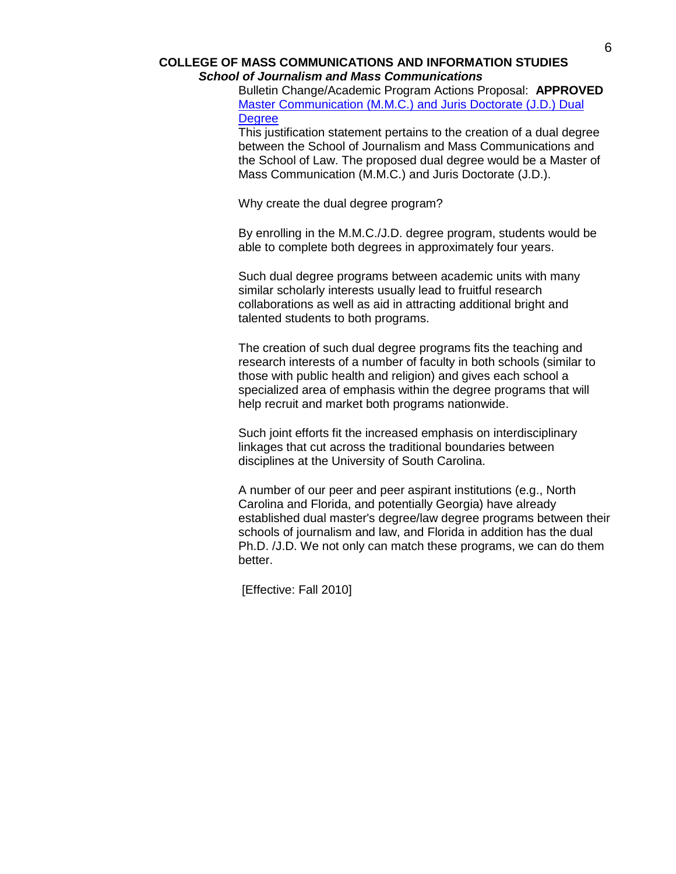#### **COLLEGE OF MASS COMMUNICATIONS AND INFORMATION STUDIES** *School of Journalism and Mass Communications*

Bulletin Change/Academic Program Actions Proposal: **APPROVED** [Master Communication \(M.M.C.\) and Juris Doctorate \(J.D.\) Dual](http://gradschool.sc.edu/gradcouncil/09-10_Curricula/BCH%20Dual%20MMC%20and%20JD%20Degree.pdf)  **[Degree](http://gradschool.sc.edu/gradcouncil/09-10_Curricula/BCH%20Dual%20MMC%20and%20JD%20Degree.pdf)** 

This justification statement pertains to the creation of a dual degree between the School of Journalism and Mass Communications and the School of Law. The proposed dual degree would be a Master of Mass Communication (M.M.C.) and Juris Doctorate (J.D.).

Why create the dual degree program?

By enrolling in the M.M.C./J.D. degree program, students would be able to complete both degrees in approximately four years.

Such dual degree programs between academic units with many similar scholarly interests usually lead to fruitful research collaborations as well as aid in attracting additional bright and talented students to both programs.

The creation of such dual degree programs fits the teaching and research interests of a number of faculty in both schools (similar to those with public health and religion) and gives each school a specialized area of emphasis within the degree programs that will help recruit and market both programs nationwide.

Such joint efforts fit the increased emphasis on interdisciplinary linkages that cut across the traditional boundaries between disciplines at the University of South Carolina.

A number of our peer and peer aspirant institutions (e.g., North Carolina and Florida, and potentially Georgia) have already established dual master's degree/law degree programs between their schools of journalism and law, and Florida in addition has the dual Ph.D. /J.D. We not only can match these programs, we can do them better.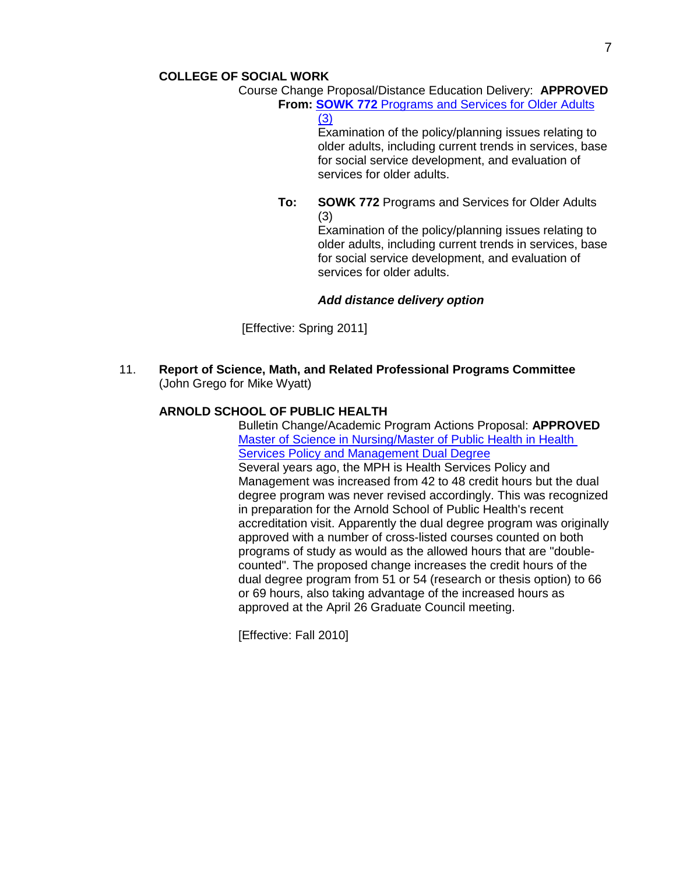Course Change Proposal/Distance Education Delivery: **APPROVED From: SOWK 772** [Programs and Services for Older Adults](http://gradschool.sc.edu/gradcouncil/09-10_Curricula/CCP%20SOWK%20772.pdf) 

[\(3\)](http://gradschool.sc.edu/gradcouncil/09-10_Curricula/CCP%20SOWK%20772.pdf)

Examination of the policy/planning issues relating to older adults, including current trends in services, base for social service development, and evaluation of services for older adults.

**To: SOWK 772** Programs and Services for Older Adults (3)

Examination of the policy/planning issues relating to older adults, including current trends in services, base for social service development, and evaluation of services for older adults.

# *Add distance delivery option*

[Effective: Spring 2011]

11. **Report of Science, Math, and Related Professional Programs Committee** (John Grego for Mike Wyatt)

# **ARNOLD SCHOOL OF PUBLIC HEALTH**

Bulletin Change/Academic Program Actions Proposal: **APPROVED** [Master of Science in Nursing/Master of Public Health in Health](http://gradschool.sc.edu/gradcouncil/09-10_Curricula/APA%20MSN%20MPH%20HSPM.pdf)  Services Policy [and Management Dual Degree](http://gradschool.sc.edu/gradcouncil/09-10_Curricula/APA%20MSN%20MPH%20HSPM.pdf) Several years ago, the MPH is Health Services Policy and Management was increased from 42 to 48 credit hours but the dual degree program was never revised accordingly. This was recognized in preparation for the Arnold School of Public Health's recent accreditation visit. Apparently the dual degree program was originally approved with a number of cross-listed courses counted on both programs of study as would as the allowed hours that are "doublecounted". The proposed change increases the credit hours of the dual degree program from 51 or 54 (research or thesis option) to 66 or 69 hours, also taking advantage of the increased hours as approved at the April 26 Graduate Council meeting.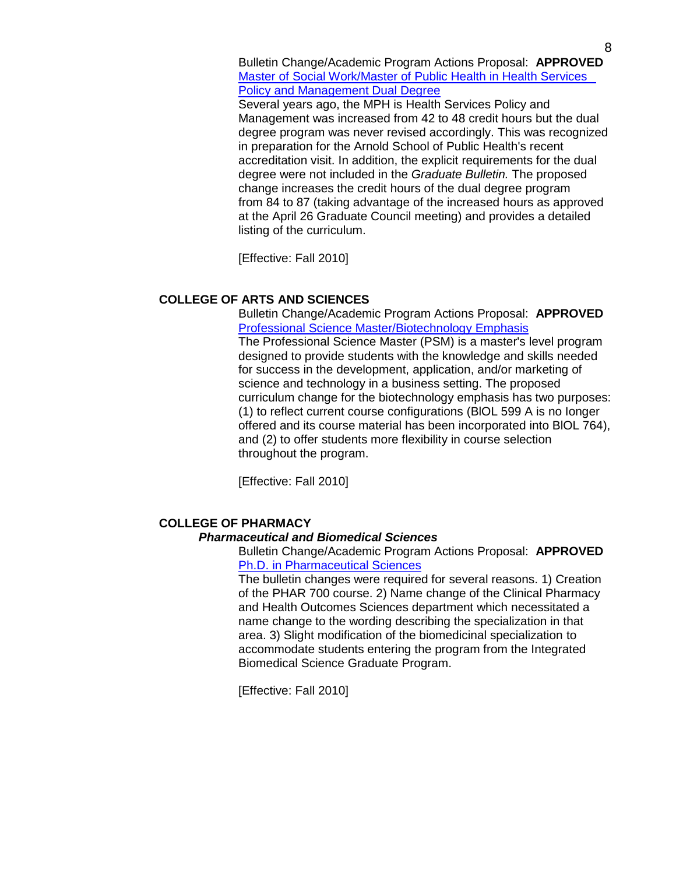Bulletin Change/Academic Program Actions Proposal: **APPROVED** [Master of Social Work/Master of Public Health in Health Services](http://gradschool.sc.edu/gradcouncil/09-10_Curricula/APA%20MSW%20MPH%20HSPM.pdf)  [Policy and Management Dual Degree](http://gradschool.sc.edu/gradcouncil/09-10_Curricula/APA%20MSW%20MPH%20HSPM.pdf)

Several years ago, the MPH is Health Services Policy and Management was increased from 42 to 48 credit hours but the dual degree program was never revised accordingly. This was recognized in preparation for the Arnold School of Public Health's recent accreditation visit. In addition, the explicit requirements for the dual degree were not included in the *Graduate Bulletin.* The proposed change increases the credit hours of the dual degree program from 84 to 87 (taking advantage of the increased hours as approved at the April 26 Graduate Council meeting) and provides a detailed listing of the curriculum.

[Effective: Fall 2010]

# **COLLEGE OF ARTS AND SCIENCES**

Bulletin Change/Academic Program Actions Proposal: **APPROVED** [Professional Science Master/Biotechnology Emphasis](http://gradschool.sc.edu/gradcouncil/09-10_Curricula/BCH%20Professional%20Science%20Master.pdf) The Professional Science Master (PSM) is a master's level program designed to provide students with the knowledge and skills needed for success in the development, application, and/or marketing of science and technology in a business setting. The proposed curriculum change for the biotechnology emphasis has two purposes: (1) to reflect current course configurations (BlOL 599 A is no Ionger offered and its course material has been incorporated into BlOL 764), and (2) to offer students more flexibility in course selection throughout the program.

[Effective: Fall 2010]

# **COLLEGE OF PHARMACY**

## *Pharmaceutical and Biomedical Sciences*

Bulletin Change/Academic Program Actions Proposal: **APPROVED** [Ph.D. in Pharmaceutical Sciences](http://gradschool.sc.edu/gradcouncil/09-10_Curricula/BCH%20Pharm%20Science.pdf)

The bulletin changes were required for several reasons. 1) Creation of the PHAR 700 course. 2) Name change of the Clinical Pharmacy and Health Outcomes Sciences department which necessitated a name change to the wording describing the specialization in that area. 3) Slight modification of the biomedicinal specialization to accommodate students entering the program from the Integrated Biomedical Science Graduate Program.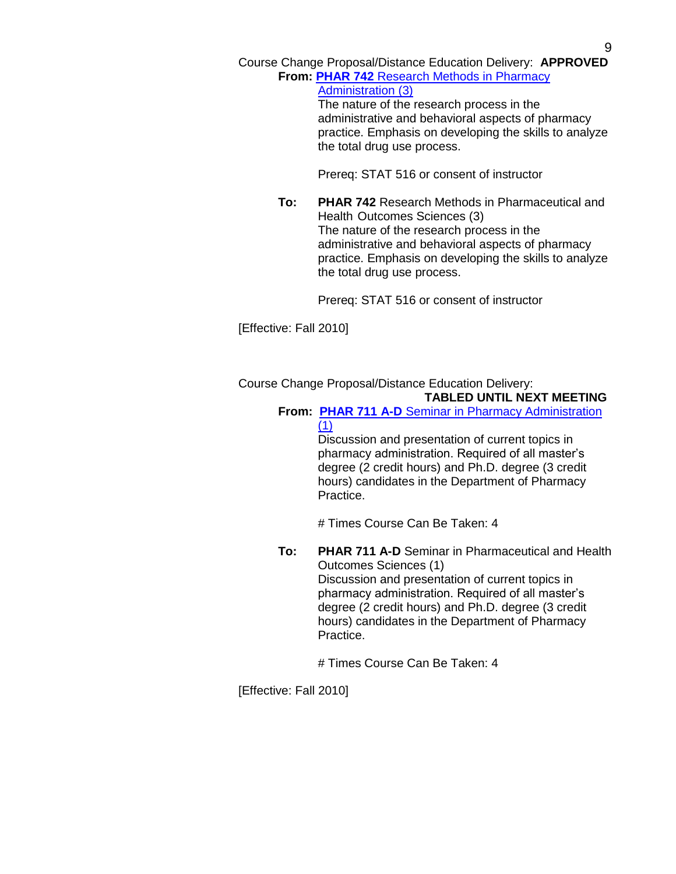Course Change Proposal/Distance Education Delivery: **APPROVED From: PHAR 742** [Research Methods in Pharmacy](http://gradschool.sc.edu/gradcouncil/09-10_Curricula/CCP%20PHAR%20742.pdf) 

> [Administration \(3\)](http://gradschool.sc.edu/gradcouncil/09-10_Curricula/CCP%20PHAR%20742.pdf) The nature of the research process in the administrative and behavioral aspects of pharmacy practice. Emphasis on developing the skills to analyze the total drug use process.

Prereq: STAT 516 or consent of instructor

**To: PHAR 742** Research Methods in Pharmaceutical and Health Outcomes Sciences (3) The nature of the research process in the administrative and behavioral aspects of pharmacy practice. Emphasis on developing the skills to analyze the total drug use process.

Prereq: STAT 516 or consent of instructor

[Effective: Fall 2010]

Course Change Proposal/Distance Education Delivery:

**TABLED UNTIL NEXT MEETING**

**From: PHAR 711 A-D** [Seminar in Pharmacy Administration](http://gradschool.sc.edu/gradcouncil/09-10_Curricula/CCP%20PHAR%20711.pdf)  [\(1\)](http://gradschool.sc.edu/gradcouncil/09-10_Curricula/CCP%20PHAR%20711.pdf)

> Discussion and presentation of current topics in pharmacy administration. Required of all master's degree (2 credit hours) and Ph.D. degree (3 credit hours) candidates in the Department of Pharmacy Practice.

# Times Course Can Be Taken: 4

**To: PHAR 711 A-D** Seminar in Pharmaceutical and Health Outcomes Sciences (1) Discussion and presentation of current topics in pharmacy administration. Required of all master's degree (2 credit hours) and Ph.D. degree (3 credit hours) candidates in the Department of Pharmacy Practice.

# Times Course Can Be Taken: 4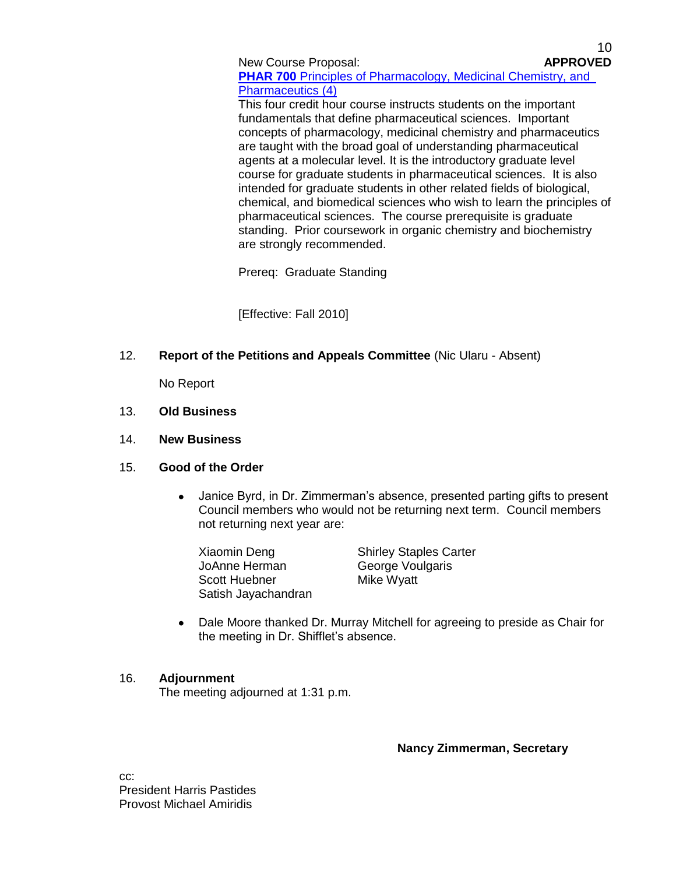New Course Proposal: **APPROVED PHAR 700** [Principles of Pharmacology, Medicinal Chemistry, and](http://gradschool.sc.edu/gradcouncil/09-10_Curricula/NCP%20PHAR%20700.pdf) [Pharmaceutics \(4\)](http://gradschool.sc.edu/gradcouncil/09-10_Curricula/NCP%20PHAR%20700.pdf)

10

This four credit hour course instructs students on the important fundamentals that define pharmaceutical sciences. Important concepts of pharmacology, medicinal chemistry and pharmaceutics are taught with the broad goal of understanding pharmaceutical agents at a molecular level. It is the introductory graduate level course for graduate students in pharmaceutical sciences. It is also intended for graduate students in other related fields of biological, chemical, and biomedical sciences who wish to learn the principles of pharmaceutical sciences. The course prerequisite is graduate standing. Prior coursework in organic chemistry and biochemistry are strongly recommended.

Prereq: Graduate Standing

[Effective: Fall 2010]

12. **Report of the Petitions and Appeals Committee** (Nic Ularu - Absent)

No Report

- 13. **Old Business**
- 14. **New Business**

# 15. **Good of the Order**

- $\bullet$ Janice Byrd, in Dr. Zimmerman's absence, presented parting gifts to present Council members who would not be returning next term. Council members not returning next year are:
	- Xiaomin Deng Shirley Staples Carter JoAnne Herman George Voulgaris Scott Huebner Mike Wyatt Satish Jayachandran

Dale Moore thanked Dr. Murray Mitchell for agreeing to preside as Chair for the meeting in Dr. Shifflet's absence.

## 16. **Adjournment**

The meeting adjourned at 1:31 p.m.

**Nancy Zimmerman, Secretary**